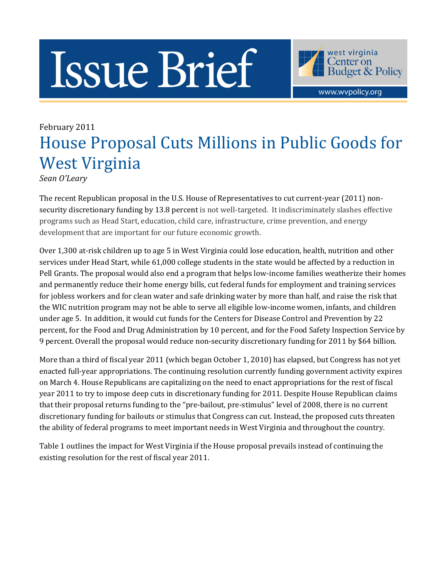## Issue Brief



www.wvpolicy.org

## February 2011 House Proposal Cuts Millions in Public Goods for West Virginia

Sean O'Leary

The recent Republican proposal in the U.S. House of Representatives to cut current-year (2011) nonsecurity discretionary funding by 13.8 percent is not well-targeted. It indiscriminately slashes effective programs such as Head Start, education, child care, infrastructure, crime prevention, and energy development that are important for our future economic growth.

Over 1,300 at-risk children up to age 5 in West Virginia could lose education, health, nutrition and other services under Head Start, while 61,000 college students in the state would be affected by a reduction in Pell Grants. The proposal would also end a program that helps low-income families weatherize their homes and permanently reduce their home energy bills, cut federal funds for employment and training services for jobless workers and for clean water and safe drinking water by more than half, and raise the risk that the WIC nutrition program may not be able to serve all eligible low-income women, infants, and children under age 5. In addition, it would cut funds for the Centers for Disease Control and Prevention by 22 percent, for the Food and Drug Administration by 10 percent, and for the Food Safety Inspection Service by 9 percent. Overall the proposal would reduce non-security discretionary funding for 2011 by \$64 billion.

More than a third of fiscal year 2011 (which began October 1, 2010) has elapsed, but Congress has not yet enacted full-year appropriations. The continuing resolution currently funding government activity expires on March 4. House Republicans are capitalizing on the need to enact appropriations for the rest of fiscal year 2011 to try to impose deep cuts in discretionary funding for 2011. Despite House Republican claims that their proposal returns funding to the "pre-bailout, pre-stimulus" level of 2008, there is no current discretionary funding for bailouts or stimulus that Congress can cut. Instead, the proposed cuts threaten the ability of federal programs to meet important needs in West Virginia and throughout the country.

Table 1 outlines the impact for West Virginia if the House proposal prevails instead of continuing the existing resolution for the rest of fiscal year 2011.